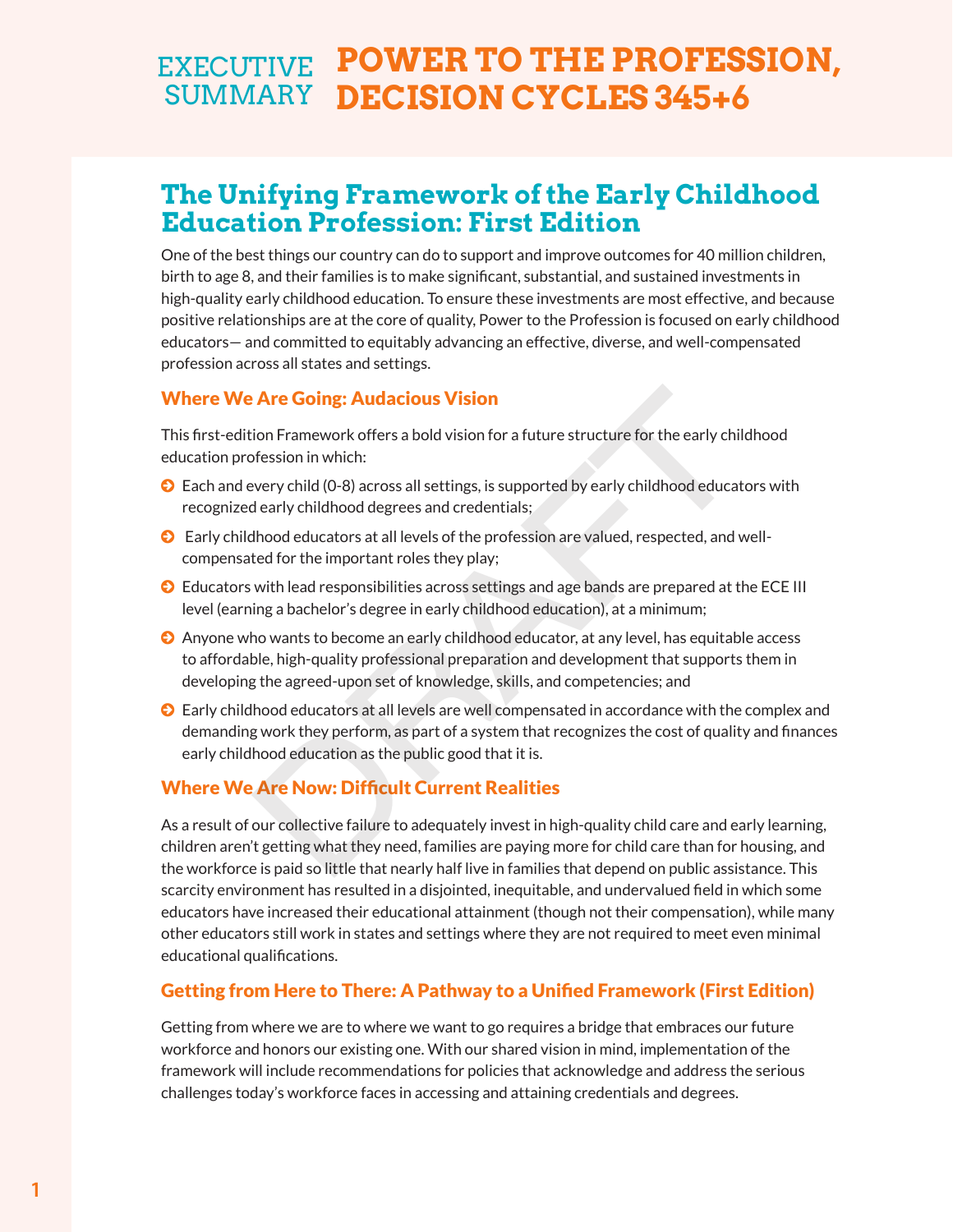# **EXECUTIVE POWER TO THE PROFESSION,** SUMMARY DECISION CYCLES 345+6

## **The Unifying Framework of the Early Childhood Education Profession: First Edition**

One of the best things our country can do to support and improve outcomes for 40 million children, birth to age 8, and their families is to make significant, substantial, and sustained investments in high-quality early childhood education. To ensure these investments are most effective, and because positive relationships are at the core of quality, Power to the Profession is focused on early childhood educators— and committed to equitably advancing an effective, diverse, and well-compensated profession across all states and settings.

#### Where We Are Going: Audacious Vision

This first-edition Framework offers a bold vision for a future structure for the early childhood education profession in which:

- © Each and every child (0-8) across all settings, is supported by early childhood educators with recognized early childhood degrees and credentials;
- © Early childhood educators at all levels of the profession are valued, respected, and wellcompensated for the important roles they play;
- © Educators with lead responsibilities across settings and age bands are prepared at the ECE III level (earning a bachelor's degree in early childhood education), at a minimum;
- © Anyone who wants to become an early childhood educator, at any level, has equitable access to affordable, high-quality professional preparation and development that supports them in developing the agreed-upon set of knowledge, skills, and competencies; and re **Going: Audacious Vision**<br>
ion Framework offers a bold vision for a future structure for the early child<br>
offession in which:<br>
very child (0-8) across all settings, is supported by early childhood educate<br>
very child (0
- © Early childhood educators at all levels are well compensated in accordance with the complex and demanding work they perform, as part of a system that recognizes the cost of quality and finances early childhood education as the public good that it is.

#### Where We Are Now: Difficult Current Realities

As a result of our collective failure to adequately invest in high-quality child care and early learning, children aren't getting what they need, families are paying more for child care than for housing, and the workforce is paid so little that nearly half live in families that depend on public assistance. This scarcity environment has resulted in a disjointed, inequitable, and undervalued field in which some educators have increased their educational attainment (though not their compensation), while many other educators still work in states and settings where they are not required to meet even minimal educational qualifications.

#### Getting from Here to There: A Pathway to a Unified Framework (First Edition)

Getting from where we are to where we want to go requires a bridge that embraces our future workforce and honors our existing one. With our shared vision in mind, implementation of the framework will include recommendations for policies that acknowledge and address the serious challenges today's workforce faces in accessing and attaining credentials and degrees.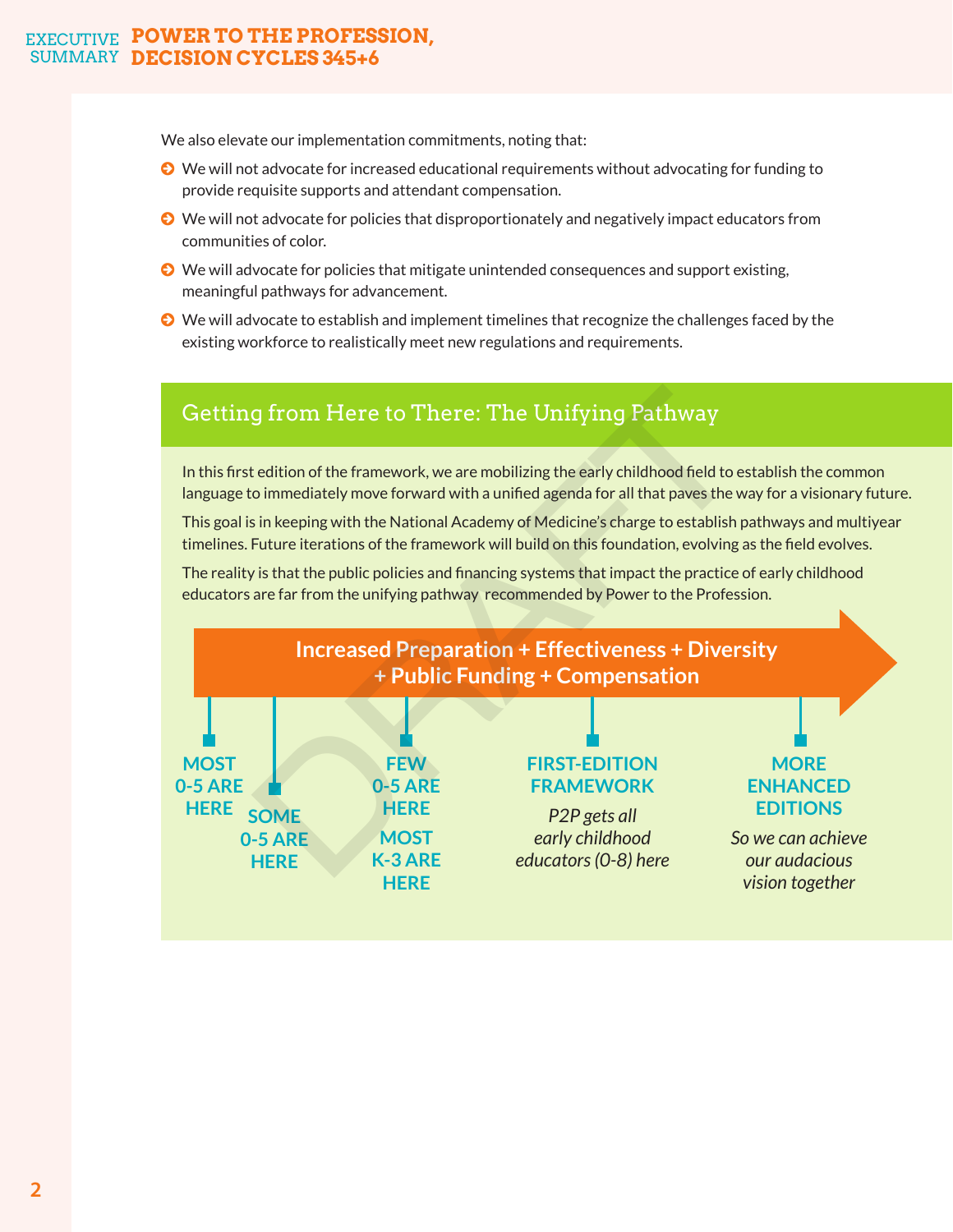#### **EXECUTIVE POWER TO THE PROFESSION, SUMMARY DECISION CYCLES 345+6**

We also elevate our implementation commitments, noting that:

- © We will not advocate for increased educational requirements without advocating for funding to provide requisite supports and attendant compensation.
- © We will not advocate for policies that disproportionately and negatively impact educators from communities of color.
- © We will advocate for policies that mitigate unintended consequences and support existing, meaningful pathways for advancement.
- © We will advocate to establish and implement timelines that recognize the challenges faced by the existing workforce to realistically meet new regulations and requirements.

### Getting from Here to There: The Unifying Pathway

In this first edition of the framework, we are mobilizing the early childhood field to establish the common language to immediately move forward with a unified agenda for all that paves the way for a visionary future.

This goal is in keeping with the National Academy of Medicine's charge to establish pathways and multiyear timelines. Future iterations of the framework will build on this foundation, evolving as the field evolves.

The reality is that the public policies and financing systems that impact the practice of early childhood educators are far from the unifying pathway recommended by Power to the Profession.

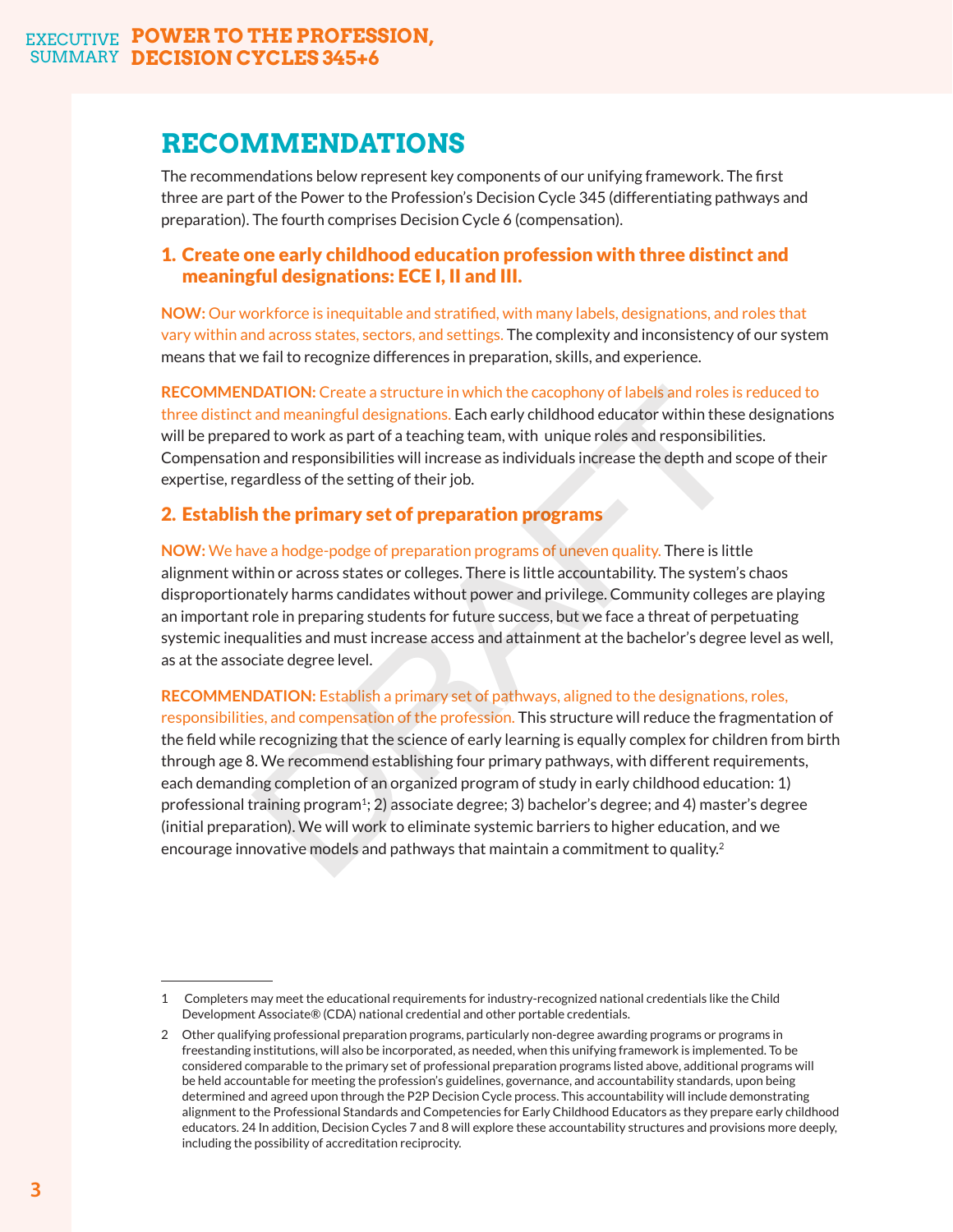### **RECOMMENDATIONS**

The recommendations below represent key components of our unifying framework. The first three are part of the Power to the Profession's Decision Cycle 345 (differentiating pathways and preparation). The fourth comprises Decision Cycle 6 (compensation).

#### 1. Create one early childhood education profession with three distinct and meaningful designations: ECE I, II and III.

**NOW:** Our workforce is inequitable and stratified, with many labels, designations, and roles that vary within and across states, sectors, and settings. The complexity and inconsistency of our system means that we fail to recognize differences in preparation, skills, and experience.

**RECOMMENDATION:** Create a structure in which the cacophony of labels and roles is reduced to three distinct and meaningful designations. Each early childhood educator within these designations will be prepared to work as part of a teaching team, with unique roles and responsibilities. Compensation and responsibilities will increase as individuals increase the depth and scope of their expertise, regardless of the setting of their job.

#### 2. Establish the primary set of preparation programs

**NOW:** We have a hodge-podge of preparation programs of uneven quality. There is little alignment within or across states or colleges. There is little accountability. The system's chaos disproportionately harms candidates without power and privilege. Community colleges are playing an important role in preparing students for future success, but we face a threat of perpetuating systemic inequalities and must increase access and attainment at the bachelor's degree level as well, as at the associate degree level.

**RECOMMENDATION:** Establish a primary set of pathways, aligned to the designations, roles, responsibilities, and compensation of the profession. This structure will reduce the fragmentation of the field while recognizing that the science of early learning is equally complex for children from birth through age 8. We recommend establishing four primary pathways, with different requirements, each demanding completion of an organized program of study in early childhood education: 1) professional training program<sup>1</sup>; 2) associate degree; 3) bachelor's degree; and 4) master's degree (initial preparation). We will work to eliminate systemic barriers to higher education, and we **RECOMMENDATION:** Create a structure in which the cacophony of labels and roles is<br>three distinct and meaningful designations. Each early childhood educator within these<br>will be prepared to work as part of a teaching team, encourage innovative models and pathways that maintain a commitment to quality.<sup>2</sup>

<sup>1</sup> Completers may meet the educational requirements for industry-recognized national credentials like the Child Development Associate® (CDA) national credential and other portable credentials.

<sup>2</sup> Other qualifying professional preparation programs, particularly non-degree awarding programs or programs in freestanding institutions, will also be incorporated, as needed, when this unifying framework is implemented. To be considered comparable to the primary set of professional preparation programs listed above, additional programs will be held accountable for meeting the profession's guidelines, governance, and accountability standards, upon being determined and agreed upon through the P2P Decision Cycle process. This accountability will include demonstrating alignment to the Professional Standards and Competencies for Early Childhood Educators as they prepare early childhood educators. 24 In addition, Decision Cycles 7 and 8 will explore these accountability structures and provisions more deeply, including the possibility of accreditation reciprocity.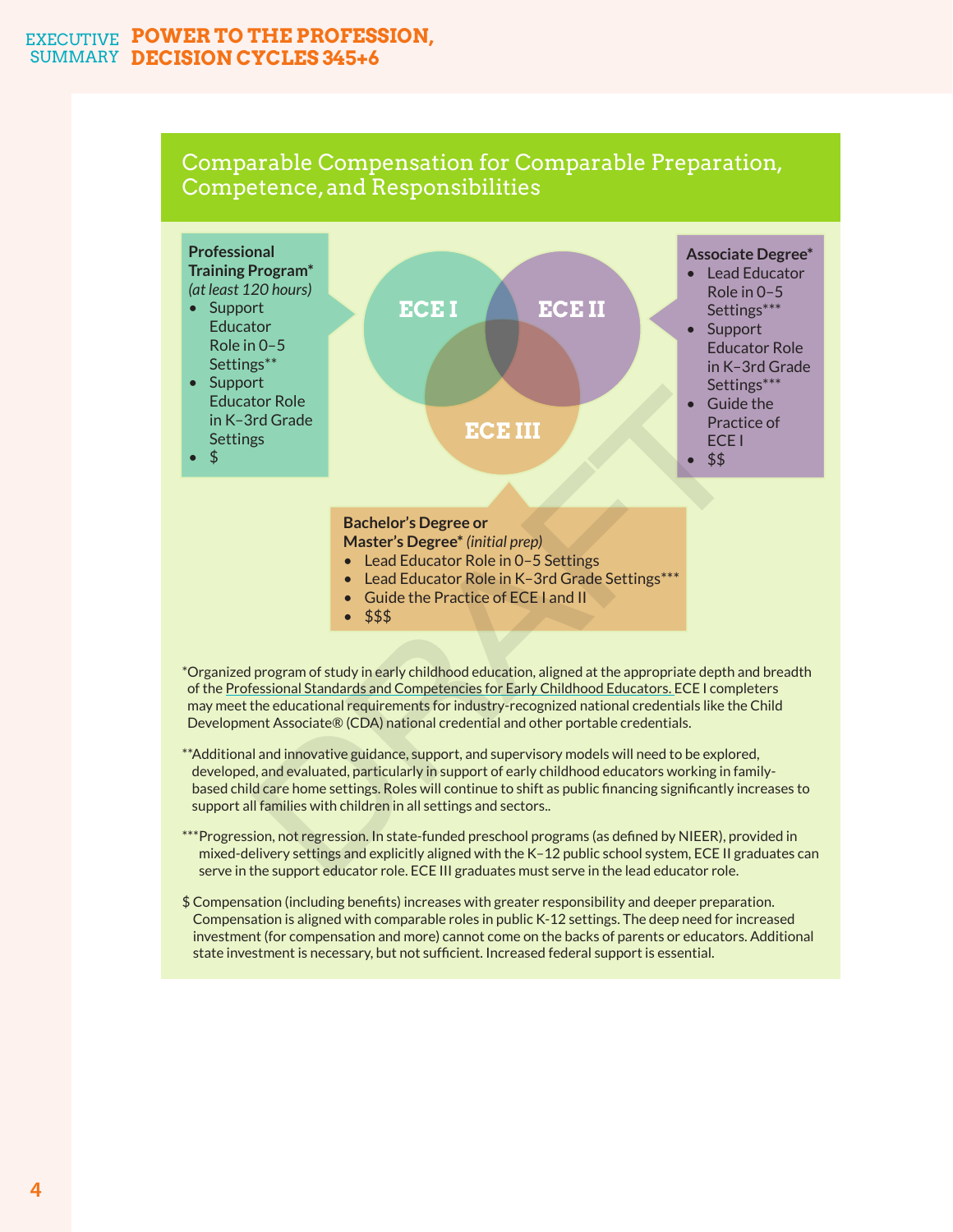#### **EXECUTIVE POWER TO THE PROFESSION, SUMMARY DECISION CYCLES 345+6**

### Comparable Compensation for Comparable Preparation, Competence, and Responsibilities



\*Organized program of study in early childhood education, aligned at the appropriate depth and breadth of the Professional Standards and Competencies for Early Childhood Educators. ECE I completers may meet the educational requirements for industry-recognized national credentials like the Child Development Associate® (CDA) national credential and other portable credentials.

- \*\*Additional and innovative guidance, support, and supervisory models will need to be explored, developed, and evaluated, particularly in support of early childhood educators working in familybased child care home settings. Roles will continue to shift as public financing significantly increases to support all families with children in all settings and sectors..
- \*\*\*Progression, not regression. In state-funded preschool programs (as defined by NIEER), provided in mixed-delivery settings and explicitly aligned with the K–12 public school system, ECE II graduates can serve in the support educator role. ECE III graduates must serve in the lead educator role.
- \$ Compensation (including benefits) increases with greater responsibility and deeper preparation. Compensation is aligned with comparable roles in public K-12 settings. The deep need for increased investment (for compensation and more) cannot come on the backs of parents or educators. Additional state investment is necessary, but not sufficient. Increased federal support is essential.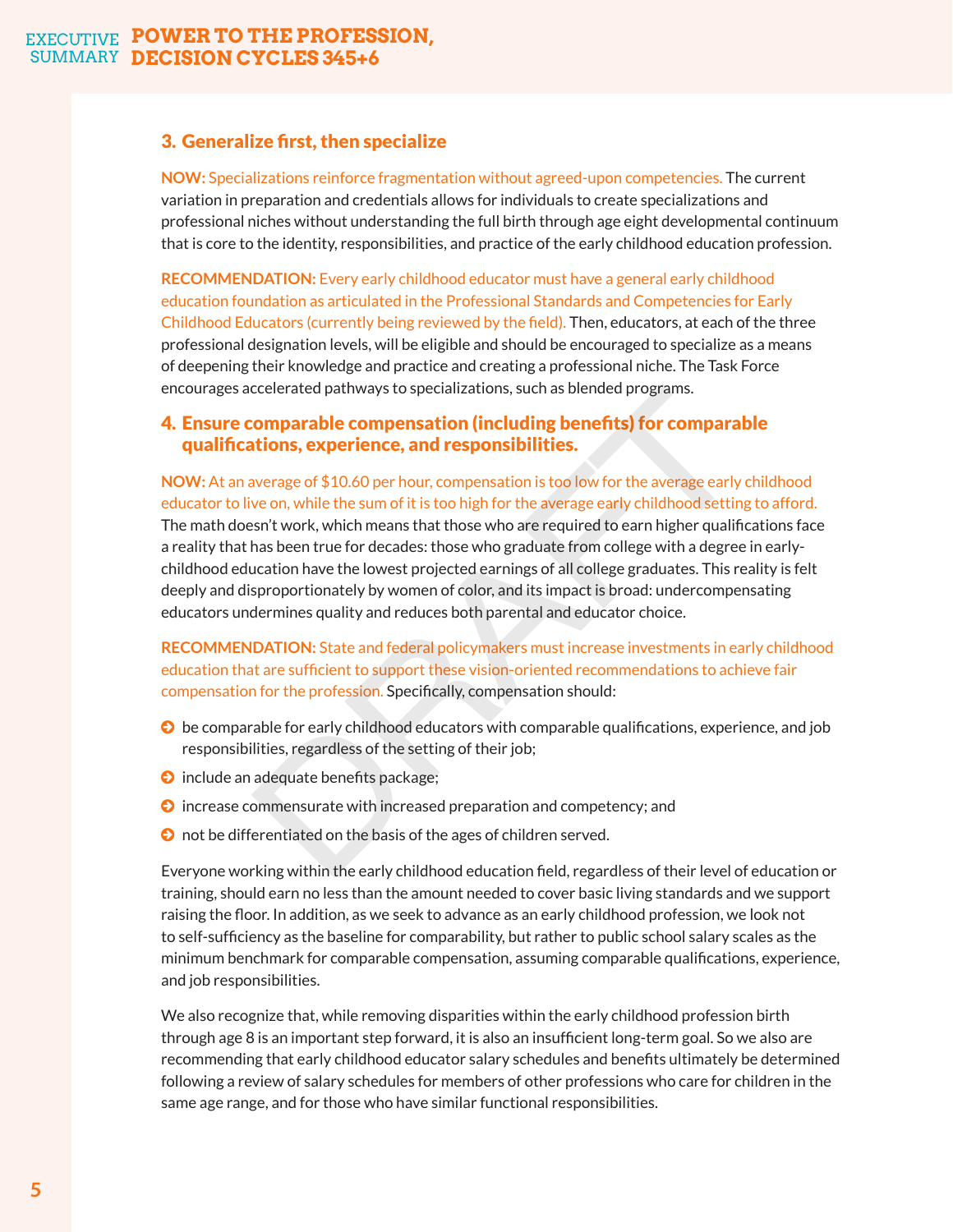#### 3. Generalize first, then specialize

**NOW:** Specializations reinforce fragmentation without agreed-upon competencies. The current variation in preparation and credentials allows for individuals to create specializations and professional niches without understanding the full birth through age eight developmental continuum that is core to the identity, responsibilities, and practice of the early childhood education profession.

**RECOMMENDATION:** Every early childhood educator must have a general early childhood education foundation as articulated in the Professional Standards and Competencies for Early Childhood Educators (currently being reviewed by the field). Then, educators, at each of the three professional designation levels, will be eligible and should be encouraged to specialize as a means of deepening their knowledge and practice and creating a professional niche. The Task Force encourages accelerated pathways to specializations, such as blended programs.

#### 4. Ensure comparable compensation (including benefits) for comparable qualifications, experience, and responsibilities.

**NOW:** At an average of \$10.60 per hour, compensation is too low for the average early childhood educator to live on, while the sum of it is too high for the average early childhood setting to afford.

The math doesn't work, which means that those who are required to earn higher qualifications face a reality that has been true for decades: those who graduate from college with a degree in earlychildhood education have the lowest projected earnings of all college graduates. This reality is felt deeply and disproportionately by women of color, and its impact is broad: undercompensating educators undermines quality and reduces both parental and educator choice. ccelerated pathways to specializations, such as blended programs.<br> **comparable compensation (including benefits) for comparal<br>
tions, experience, and responsibilities.**<br>
we on, while the sum of it is too high for the avera

**RECOMMENDATION:** State and federal policymakers must increase investments in early childhood education that are sufficient to support these vision-oriented recommendations to achieve fair compensation for the profession. Specifically, compensation should:

- © be comparable for early childhood educators with comparable qualifications, experience, and job responsibilities, regardless of the setting of their job;
- © include an adequate benefits package;
- © increase commensurate with increased preparation and competency; and
- © not be differentiated on the basis of the ages of children served.

Everyone working within the early childhood education field, regardless of their level of education or training, should earn no less than the amount needed to cover basic living standards and we support raising the floor. In addition, as we seek to advance as an early childhood profession, we look not to self-sufficiency as the baseline for comparability, but rather to public school salary scales as the minimum benchmark for comparable compensation, assuming comparable qualifications, experience, and job responsibilities.

We also recognize that, while removing disparities within the early childhood profession birth through age 8 is an important step forward, it is also an insufficient long-term goal. So we also are recommending that early childhood educator salary schedules and benefits ultimately be determined following a review of salary schedules for members of other professions who care for children in the same age range, and for those who have similar functional responsibilities.